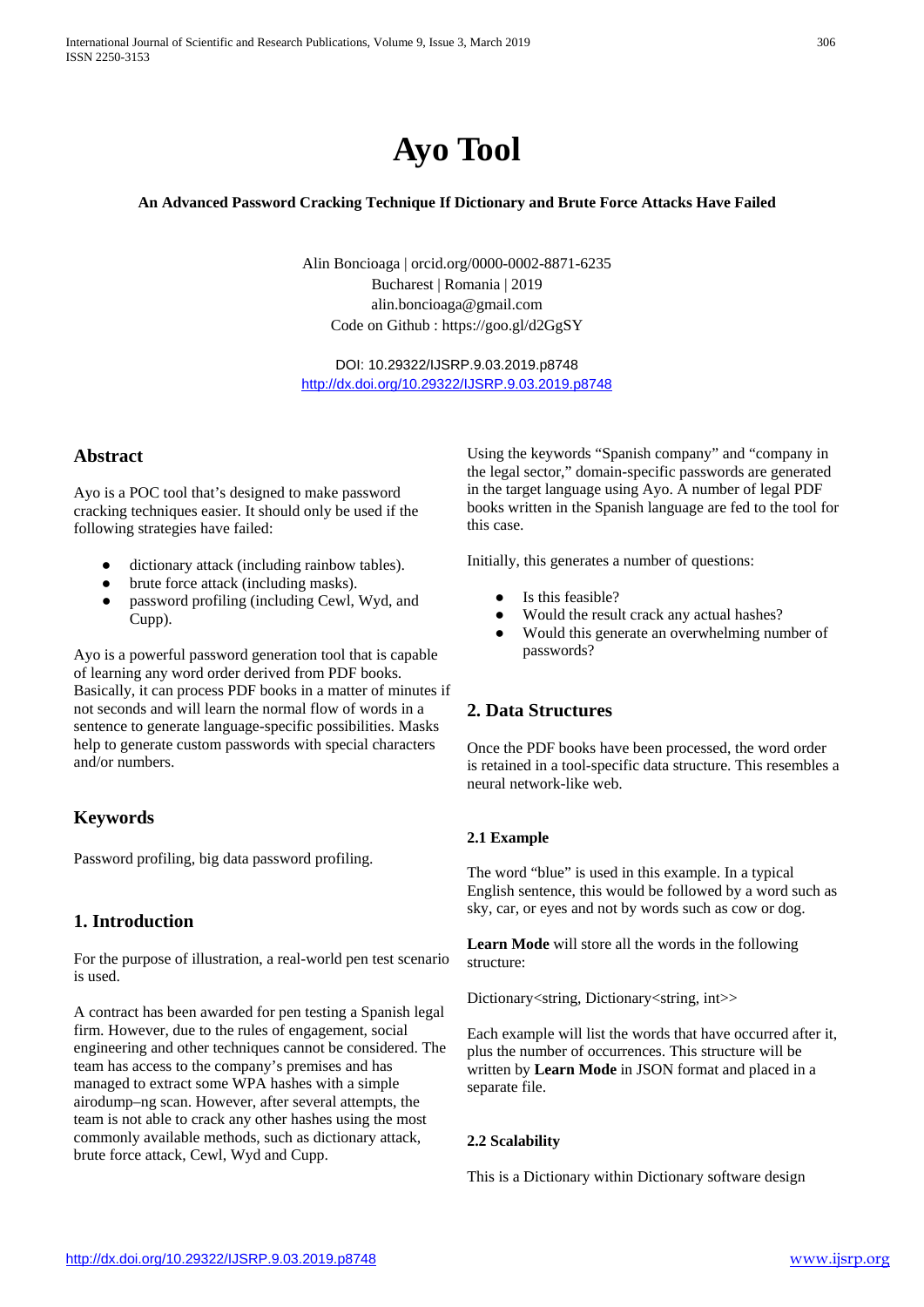

## **An Advanced Password Cracking Technique If Dictionary and Brute Force Attacks Have Failed**

Alin Boncioaga | orcid.org/0000-0002-8871-6235 Bucharest | Romania | 2019 [alin.boncioaga@gmail.com](mailto:alin.boncioaga@gmail.com) Code on Github :<https://goo.gl/d2GgSY>

DOI: 10.29322/IJSRP.9.03.2019.p8748 <http://dx.doi.org/10.29322/IJSRP.9.03.2019.p8748>

### **Abstract**

Ayo is a POC tool that's designed to make password cracking techniques easier. It should only be used if the following strategies have failed:

- dictionary attack (including rainbow tables).
- brute force attack (including masks).
- password profiling (including Cewl, Wyd, and Cupp).

Ayo is a powerful password generation tool that is capable of learning any word order derived from PDF books. Basically, it can process PDF books in a matter of minutes if not seconds and will learn the normal flow of words in a sentence to generate language-specific possibilities. Masks help to generate custom passwords with special characters and/or numbers.

## **Keywords**

Password profiling, big data password profiling.

# **1. Introduction**

For the purpose of illustration, a real-world pen test scenario is used.

A contract has been awarded for pen testing a Spanish legal firm. However, due to the rules of engagement, social engineering and other techniques cannot be considered. The team has access to the company's premises and has managed to extract some WPA hashes with a simple airodump–ng scan. However, after several attempts, the team is not able to crack any other hashes using the most commonly available methods, such as dictionary attack, brute force attack, Cewl, Wyd and Cupp.

Using the keywords "Spanish company" and "company in the legal sector," domain-specific passwords are generated in the target language using Ayo. A number of legal PDF books written in the Spanish language are fed to the tool for this case.

Initially, this generates a number of questions:

- Is this feasible?
- Would the result crack any actual hashes?
- Would this generate an overwhelming number of passwords?

## **2. Data Structures**

Once the PDF books have been processed, the word order is retained in a tool-specific data structure. This resembles a neural network-like web.

### **2.1 Example**

The word "blue" is used in this example. In a typical English sentence, this would be followed by a word such as sky, car, or eyes and not by words such as cow or dog.

**Learn Mode** will store all the words in the following structure:

Dictionary<string, Dictionary<string, int>>

Each example will list the words that have occurred after it, plus the number of occurrences. This structure will be written by **Learn Mode** in JSON format and placed in a separate file.

### **2.2 Scalability**

This is a Dictionary within Dictionary software design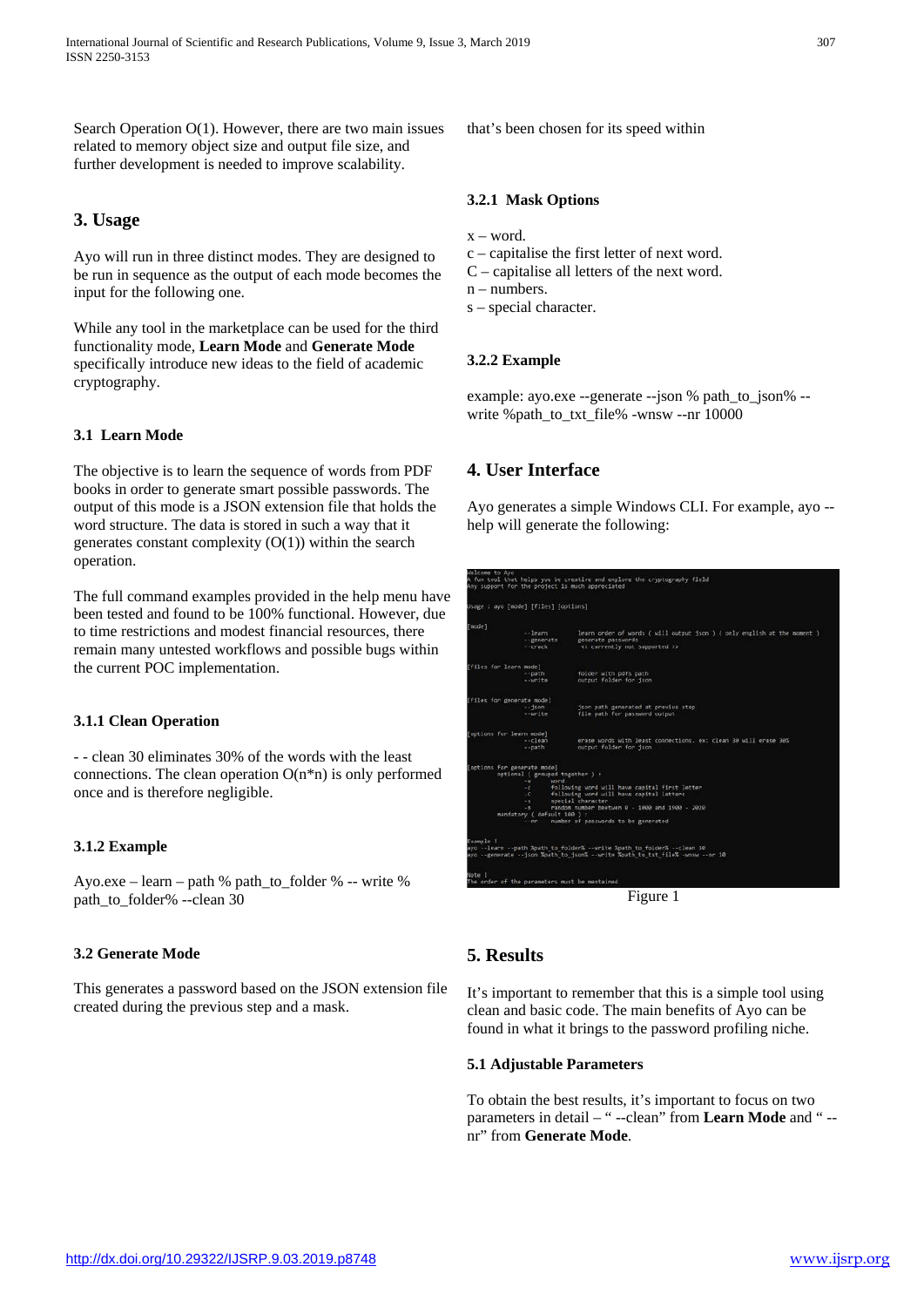Search Operation O(1). However, there are two main issues related to memory object size and output file size, and further development is needed to improve scalability.

# **3. Usage**

Ayo will run in three distinct modes. They are designed to be run in sequence as the output of each mode becomes the input for the following one.

While any tool in the marketplace can be used for the third functionality mode, **Learn Mode** and **Generate Mode**  specifically introduce new ideas to the field of academic cryptography.

### **3.1 Learn Mode**

The objective is to learn the sequence of words from PDF books in order to generate smart possible passwords. The output of this mode is a JSON extension file that holds the word structure. The data is stored in such a way that it generates constant complexity  $(O(1))$  within the search operation.

The full command examples provided in the help menu have been tested and found to be 100% functional. However, due to time restrictions and modest financial resources, there remain many untested workflows and possible bugs within the current POC implementation.

### **3.1.1 Clean Operation**

- - clean 30 eliminates 30% of the words with the least connections. The clean operation  $O(n^*n)$  is only performed once and is therefore negligible.

## **3.1.2 Example**

Ayo.exe – learn – path % path\_to\_folder % -- write % path to folder% --clean 30

### **3.2 Generate Mode**

This generates a password based on the JSON extension file created during the previous step and a mask.

that's been chosen for its speed within

#### **3.2.1 Mask Options**

 $x - word$ 

- c capitalise the first letter of next word.
- C capitalise all letters of the next word.
- n numbers.
- s special character.

#### **3.2.2 Example**

example: ayo.exe --generate --json % path\_to\_json% - write %path\_to\_txt\_file% -wnsw --nr 10000

## **4. User Interface**

Ayo generates a simple Windows CLI. For example, ayo - help will generate the following:

| Welcome to Ayo         | Any support for the project is much appreciated                               | A fun tool that helps you be creative and explore the cryptography field                                                                                 |
|------------------------|-------------------------------------------------------------------------------|----------------------------------------------------------------------------------------------------------------------------------------------------------|
|                        | Usage : ayo [mode] [files] [options]                                          |                                                                                                                                                          |
| [mode]                 | $-1$ earn<br>- generate                                                       | learn order of words ( will output json ) ( only english at the moment )<br>generate passwords                                                           |
|                        | $ -$ crack                                                                    | << currently not supported >>                                                                                                                            |
| [files for learn mode] |                                                                               |                                                                                                                                                          |
|                        | $-$ path<br>--write                                                           | folder with pdfs path<br>output folder for ison                                                                                                          |
|                        | [files for generate mode]                                                     |                                                                                                                                                          |
|                        | $-1500$<br>--write                                                            | ison path generated at previus step<br>file path for password output                                                                                     |
|                        | (options for learn mode)                                                      |                                                                                                                                                          |
|                        | $-$ clean<br>$-$ path                                                         | erase words with least connections, ex: clean 30 will erase 30%<br>output folder for ison                                                                |
|                        | [options for generate mode]<br>optional ( grouped together ) :                |                                                                                                                                                          |
|                        | $-14$<br>word<br>following word will have capital first letter<br>$-1$        |                                                                                                                                                          |
|                        | following word will have capital letters<br>$-C$<br>special character<br>$-5$ |                                                                                                                                                          |
|                        | $-11$                                                                         | random number beetwen 0 - 1000 and 1900 - 2020                                                                                                           |
|                        | mandatory ( default 100 ) :<br>$-100$                                         | number of passwords to be generated                                                                                                                      |
| Example 1              |                                                                               |                                                                                                                                                          |
|                        |                                                                               | ayo --learn --path %path to folder% --write %path to folder% --clean 30<br>ayo --generate --{son %path to {son% --write %path to txt file% -wnsw --nr 10 |
| Note !                 | The order of the parameters must be mentained                                 |                                                                                                                                                          |
|                        |                                                                               | г.<br>-1<br>------                                                                                                                                       |

Figure 1

# **5. Results**

It's important to remember that this is a simple tool using clean and basic code. The main benefits of Ayo can be found in what it brings to the password profiling niche.

#### **5.1 Adjustable Parameters**

To obtain the best results, it's important to focus on two parameters in detail – " --clean" from **Learn Mode** and " - nr" from **Generate Mode**.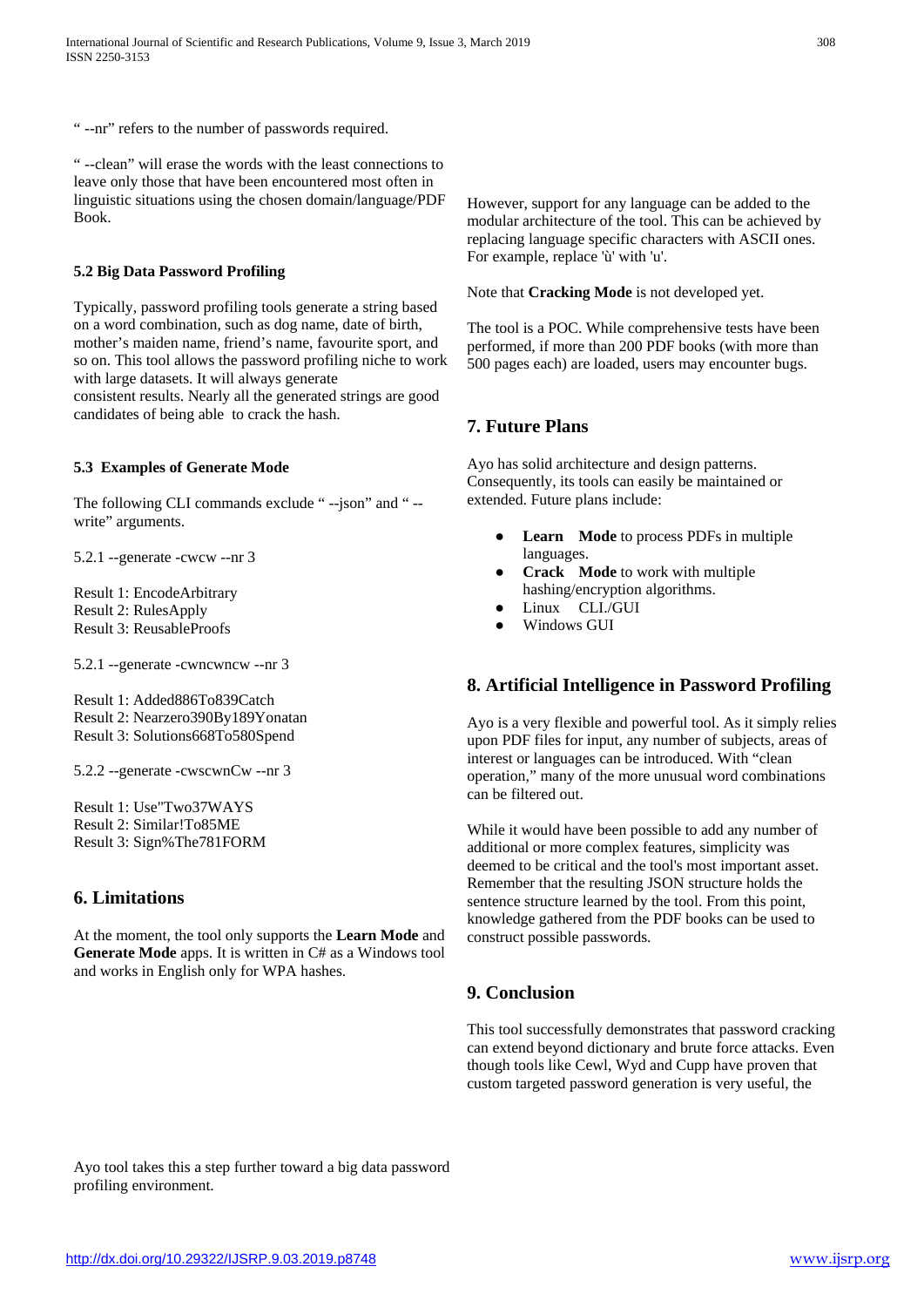" --nr" refers to the number of passwords required.

" --clean" will erase the words with the least connections to leave only those that have been encountered most often in linguistic situations using the chosen domain/language/PDF Book.

## **5.2 Big Data Password Profiling**

Typically, password profiling tools generate a string based on a word combination, such as dog name, date of birth, mother's maiden name, friend's name, favourite sport, and so on. This tool allows the password profiling niche to work with large datasets. It will always generate consistent results. Nearly all the generated strings are good candidates of being able to crack the hash.

## **5.3 Examples of Generate Mode**

The following CLI commands exclude " --json" and " - write" arguments.

5.2.1 --generate -cwcw --nr 3

Result 1: EncodeArbitrary Result 2: RulesApply Result 3: ReusableProofs

5.2.1 --generate -cwncwncw --nr 3

Result 1: Added886To839Catch Result 2: Nearzero390By189Yonatan Result 3: Solutions668To580Spend

5.2.2 --generate -cwscwnCw --nr 3

Result 1: Use"Two37WAYS Result 2: Similar!To85ME Result 3: Sign%The781FORM

# **6. Limitations**

At the moment, the tool only supports the **Learn Mode** and **Generate Mode** apps. It is written in C# as a Windows tool and works in English only for WPA hashes.

However, support for any language can be added to the modular architecture of the tool. This can be achieved by replacing language specific characters with ASCII ones. For example, replace 'ù' with 'u'.

# Note that **Cracking Mode** is not developed yet.

The tool is a POC. While comprehensive tests have been performed, if more than 200 PDF books (with more than 500 pages each) are loaded, users may encounter bugs.

# **7. Future Plans**

Ayo has solid architecture and design patterns. Consequently, its tools can easily be maintained or extended. Future plans include:

- **Learn Mode** to process PDFs in multiple languages.
- **Crack** Mode to work with multiple hashing/encryption algorithms.
- Linux CLI./GUI
- Windows GUI

# **8. Artificial Intelligence in Password Profiling**

Ayo is a very flexible and powerful tool. As it simply relies upon PDF files for input, any number of subjects, areas of interest or languages can be introduced. With "clean operation," many of the more unusual word combinations can be filtered out.

While it would have been possible to add any number of additional or more complex features, simplicity was deemed to be critical and the tool's most important asset. Remember that the resulting JSON structure holds the sentence structure learned by the tool. From this point, knowledge gathered from the PDF books can be used to construct possible passwords.

# **9. Conclusion**

This tool successfully demonstrates that password cracking can extend beyond dictionary and brute force attacks. Even though tools like Cewl, Wyd and Cupp have proven that custom targeted password generation is very useful, the

Ayo tool takes this a step further toward a big data password profiling environment.